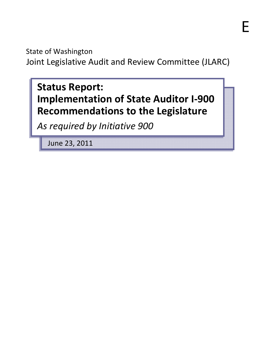State of Washington Joint Legislative Audit and Review Committee (JLARC)

# **Status Report: Implementation of State Auditor I-900 Recommendations to the Legislature**

*As required by Initiative 900*

June 23, 2011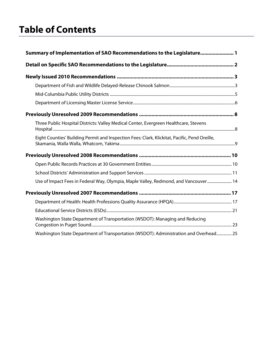# **Table of Contents**

| Summary of Implementation of SAO Recommendations to the Legislature 1                         |  |
|-----------------------------------------------------------------------------------------------|--|
|                                                                                               |  |
|                                                                                               |  |
|                                                                                               |  |
|                                                                                               |  |
|                                                                                               |  |
|                                                                                               |  |
| Three Public Hospital Districts: Valley Medical Center, Evergreen Healthcare, Stevens         |  |
| Eight Counties' Building Permit and Inspection Fees: Clark, Klickitat, Pacific, Pend Oreille, |  |
|                                                                                               |  |
|                                                                                               |  |
|                                                                                               |  |
| Use of Impact Fees in Federal Way, Olympia, Maple Valley, Redmond, and Vancouver  14          |  |
|                                                                                               |  |
|                                                                                               |  |
|                                                                                               |  |
| Washington State Department of Transportation (WSDOT): Managing and Reducing                  |  |
| Washington State Department of Transportation (WSDOT): Administration and Overhead 25         |  |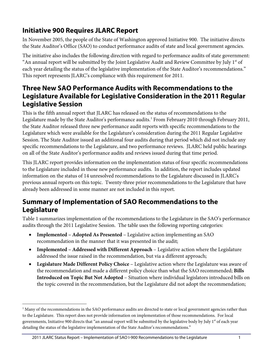# **Initiative 900 Requires JLARC Report**

In November 2005, the people of the State of Washington approved Initiative 900. The initiative directs the State Auditor's Office (SAO) to conduct performance audits of state and local government agencies.

The initiative also includes the following direction with regard to performance audits of state government: "An annual report will be submitted by the Joint Legislative Audit and Review Committee by July  $1<sup>st</sup>$  of each year detailing the status of the legislative implementation of the State Auditor's recommendations." This report represents JLARC's compliance with this requirement for 2011.

# **Three New SAO Performance Audits with Recommendations to the Legislature Available for Legislative Consideration in the 2011 Regular Legislative Session**

This is the fifth annual report that JLARC has released on the status of recommendations to the Legislature made by the State Auditor's performance audits.<sup>[1](#page-4-1)</sup> From February 2010 through February 2011, the State Auditor released three new performance audit reports with specific recommendations to the Legislature which were available for the Legislature's consideration during the 2011 Regular Legislative Session. The State Auditor issued an additional four audits during that period which did not include any specific recommendations to the Legislature, and two performance reviews. JLARC held public hearings on all of the State Auditor's performance audits and reviews issued during that time period.

This JLARC report provides information on the implementation status of four specific recommendations to the Legislature included in those new performance audits. In addition, the report includes updated information on the status of 14 unresolved recommendations to the Legislature discussed in JLARC's previous annual reports on this topic. Twenty-three prior recommendations to the Legislature that have already been addressed in some manner are not included in this report.

# <span id="page-4-0"></span>**Summary of Implementation of SAO Recommendations to the Legislature**

Table 1 summarizes implementation of the recommendations to the Legislature in the SAO's performance audits through the 2011 Legislative Session. The table uses the following reporting categories:

- **Implemented – Adopted As Presented** Legislative action implementing an SAO recommendation in the manner that it was presented in the audit;
- **Implemented – Addressed with Different Approach** Legislative action where the Legislature addressed the issue raised in the recommendation, but via a different approach;
- **Legislature Made Different Policy Choice** Legislative action where the Legislature was aware of the recommendation and made a different policy choice than what the SAO recommended; **Bills Introduced on Topic But Not Adopted** – Situation where individual legislators introduced bills on the topic covered in the recommendation, but the Legislature did not adopt the recommendation;

 $\overline{a}$ 

<span id="page-4-1"></span> $<sup>1</sup>$  Many of the recommendations in the SAO performance audits are directed to state or local government agencies rather than</sup> to the Legislature. This report does not provide information on implementation of those recommendations. For local governments, Initiative 900 directs that "an annual report will be submitted by the legislative body by July 1<sup>st</sup> of each year detailing the status of the legislative implementation of the State Auditor's recommendations."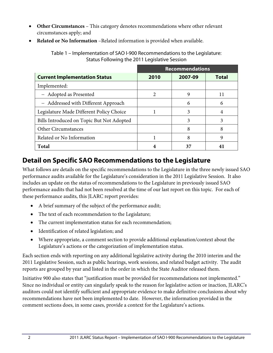- **Other Circumstances** This category denotes recommendations where other relevant circumstances apply; and
- **Related or No Information** –Related information is provided when available.

|                                           | <b>Recommendations</b> |         |       |  |
|-------------------------------------------|------------------------|---------|-------|--|
| <b>Current Implementation Status</b>      | 2010                   | 2007-09 | Total |  |
| Implemented:                              |                        |         |       |  |
| - Adopted as Presented                    | 2                      | 9       | 11    |  |
| - Addressed with Different Approach       |                        | 6       | 6     |  |
| Legislature Made Different Policy Choice  |                        | 3       | 4     |  |
| Bills Introduced on Topic But Not Adopted |                        | 3       | 3     |  |
| Other Circumstances                       |                        | 8       | 8     |  |
| Related or No Information                 |                        | 8       | 9     |  |
| <b>Total</b>                              | 4                      | 37      |       |  |

Table 1 – Implementation of SAO I-900 Recommendations to the Legislature: Status Following the 2011 Legislative Session

# <span id="page-5-0"></span>**Detail on Specific SAO Recommendations to the Legislature**

What follows are details on the specific recommendations to the Legislature in the three newly issued SAO performance audits available for the Legislature's consideration in the 2011 Legislative Session. It also includes an update on the status of recommendations to the Legislature in previously issued SAO performance audits that had not been resolved at the time of our last report on this topic. For each of these performance audits, this JLARC report provides:

- A brief summary of the subject of the performance audit;
- The text of each recommendation to the Legislature;
- The current implementation status for each recommendation;
- Identification of related legislation; and
- Where appropriate, a comment section to provide additional explanation/context about the Legislature's actions or the categorization of implementation status.

Each section ends with reporting on any additional legislative activity during the 2010 interim and the 2011 Legislative Session, such as public hearings, work sessions, and related budget activity. The audit reports are grouped by year and listed in the order in which the State Auditor released them.

Initiative 900 also states that "justification must be provided for recommendations not implemented." Since no individual or entity can singularly speak to the reason for legislative action or inaction, JLARC's auditors could not identify sufficient and appropriate evidence to make definitive conclusions about why recommendations have not been implemented to date. However, the information provided in the comment sections does, in some cases, provide a context for the Legislature's actions.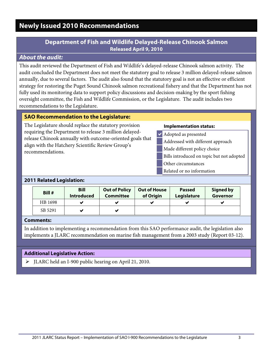# <span id="page-6-1"></span><span id="page-6-0"></span>**Newly Issued 2010 Recommendations**

### **Department of Fish and Wildlife Delayed-Release Chinook Salmon Released April 9, 2010**

### *About the audit:*

This audit reviewed the Department of Fish and Wildlife's delayed-release Chinook salmon activity. The audit concluded the Department does not meet the statutory goal to release 3 million delayed-release salmon annually, due to several factors. The audit also found that the statutory goal is not an effective or efficient strategy for restoring the Puget Sound Chinook salmon recreational fishery and that the Department has not fully used its monitoring data to support policy discussions and decision-making by the sport fishing oversight committee, the Fish and Wildlife Commission, or the Legislature. The audit includes two recommendations to the Legislature.

#### **SAO Recommendation to the Legislature:**

The Legislature should replace the statutory provision requiring the Department to release 3 million delayedrelease Chinook annually with outcome-oriented goals that align with the Hatchery Scientific Review Group's recommendations.

#### **Implementation status:**

- Adopted as presented
	- Addressed with different approach
	- Made different policy choice
	- Bills introduced on topic but not adopted
	- Other circumstances
	- Related or no information

#### **2011 Related Legislation:**

| Bill #  | <b>Bill</b><br><b>Introduced</b> | <b>Out of Policy</b><br><b>Committee</b> | <b>Out of House</b><br>of Origin | <b>Passed</b><br>Legislature | <b>Signed by</b><br>Governor |
|---------|----------------------------------|------------------------------------------|----------------------------------|------------------------------|------------------------------|
| HB 1698 |                                  | v                                        | v                                |                              |                              |
| SB 5291 |                                  | ✔                                        |                                  |                              |                              |

#### **Comments:**

In addition to implementing a recommendation from this SAO performance audit, the legislation also implements a JLARC recommendation on marine fish management from a 2003 study (Report 03-12).

#### **Additional Legislative Action:**

JLARC held an I-900 public hearing on April 21, 2010.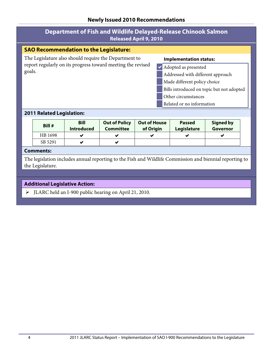| <b>Department of Fish and Wildlife Delayed-Release Chinook Salmon</b><br><b>Released April 9, 2010</b> |                                           |  |  |  |  |
|--------------------------------------------------------------------------------------------------------|-------------------------------------------|--|--|--|--|
| <b>SAO Recommendation to the Legislature:</b>                                                          |                                           |  |  |  |  |
| The Legislature also should require the Department to                                                  | <b>Implementation status:</b>             |  |  |  |  |
| report regularly on its progress toward meeting the revised                                            | Adopted as presented                      |  |  |  |  |
| goals.                                                                                                 | Addressed with different approach         |  |  |  |  |
|                                                                                                        | Made different policy choice              |  |  |  |  |
|                                                                                                        | Bills introduced on topic but not adopted |  |  |  |  |
|                                                                                                        | Other circumstances                       |  |  |  |  |
|                                                                                                        | Related or no information                 |  |  |  |  |
| <b>2011 Related Legislation:</b>                                                                       |                                           |  |  |  |  |

| Bill #  | <b>Bill</b><br><b>Introduced</b> | <b>Out of Policy</b><br>Committee | <b>Out of House</b><br>of Origin | <b>Passed</b><br>Legislature | <b>Signed by</b><br>Governor |
|---------|----------------------------------|-----------------------------------|----------------------------------|------------------------------|------------------------------|
| HB 1698 |                                  | V                                 |                                  |                              | w                            |
| SB 5291 |                                  | v                                 |                                  |                              |                              |

#### **Comments:**

The legislation includes annual reporting to the Fish and Wildlife Commission and biennial reporting to the Legislature.

### **Additional Legislative Action:**

 $\triangleright$  JLARC held an I-900 public hearing on April 21, 2010.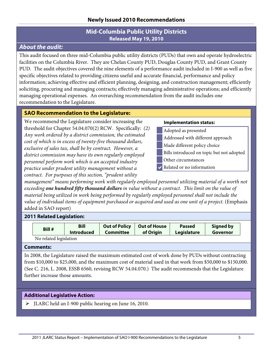### **Mid-Columbia Public Utility Districts Released May 19, 2010**

### <span id="page-8-0"></span>*About the audit:*

This audit focused on three mid-Columbia public utility districts (PUDs) that own and operate hydroelectric facilities on the Columbia River. They are Chelan County PUD, Douglas County PUD, and Grant County PUD. The audit objectives covered the nine elements of a performance audit included in I-900 as well as five specific objectives related to providing citizens useful and accurate financial, performance and policy information; achieving effective and efficient planning, designing, and construction management; efficiently soliciting, procuring and managing contracts; effectively managing administrative operations; and efficiently managing operational expenses. An overarching recommendation from the audit includes one recommendation to the Legislature.

### **SAO Recommendation to the Legislature:**

We recommend the Legislature consider increasing the threshold for Chapter 54.04.070(2) RCW. Specifically: *(2) Any work ordered by a district commission, the estimated cost of which is in excess of twenty-five thousand dollars, exclusive of sales tax, shall be by contract. However, a district commission may have its own regularly employed personnel perform work which is an accepted industry practice under prudent utility management without a contract. For purposes of this section, "prudent utility* 

#### **Implementation status:**

- Adopted as presented
- Addressed with different approach
- Made different policy choice
- Bills introduced on topic but not adopted
- Other circumstances
- Related or no information

*management" means performing work with regularly employed personnel utilizing material of a worth not exceeding one hundred fifty thousand dollars in value without a contract. This limit on the value of material being utilized in work being performed by regularly employed personnel shall not include the value of individual items of equipment purchased or acquired and used as one unit of a project.* (Emphasis added in SAO report)

#### **2011 Related Legislation:**

| Bill #                 | <b>Bill</b>       | <b>Out of Policy</b> | <b>Out of House</b> | <b>Passed</b>      | <b>Signed by</b> |
|------------------------|-------------------|----------------------|---------------------|--------------------|------------------|
|                        | <b>Introduced</b> | <b>Committee</b>     | of Origin           | <b>Legislature</b> | Governor         |
| No related legislation |                   |                      |                     |                    |                  |

No related legislation

#### **Comments:**

In 2008, the Legislature raised the maximum estimated cost of work done by PUDs without contracting from \$10,000 to \$25,000, and the maximum cost of material used in that work from \$50,000 to \$150,000. (See C. 216, L. 2008, ESSB 6560, revising RCW 54.04.070.) The audit recommends that the Legislature further increase those amounts.

### **Additional Legislative Action:**

JLARC held an I-900 public hearing on June 16, 2010.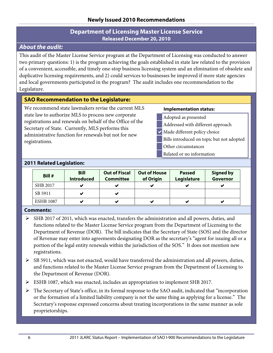### **Department of Licensing Master License Service Released December 20, 2010**

### <span id="page-9-0"></span>*About the audit:*

This audit of the Master License Service program at the Department of Licensing was conducted to answer two primary questions: 1) is the program achieving the goals established in state law related to the provision of a convenient, accessible, and timely one-stop business licensing system and an elimination of obsolete and duplicative licensing requirements, and 2) could services to businesses be improved if more state agencies and local governments participated in the program? The audit includes one recommendation to the Legislature.

### **SAO Recommendation to the Legislature:**

We recommend state lawmakers revise the current MLS state law to authorize MLS to process new corporate registrations and renewals on behalf of the Office of the Secretary of State. Currently, MLS performs this administrative function for renewals but not for new registrations.

#### **Implementation status:**

- Adopted as presented
- Addressed with different approach
- Made different policy choice
	- Bills introduced on topic but not adopted
	- Other circumstances
	- Related or no information

### **2011 Related Legislation:**

| Bill #           | <b>Bill</b><br><b>Introduced</b> | <b>Out of Fiscal</b><br><b>Committee</b> | <b>Out of House</b><br>of Origin | <b>Passed</b><br>Legislature | <b>Signed by</b><br>Governor |
|------------------|----------------------------------|------------------------------------------|----------------------------------|------------------------------|------------------------------|
| <b>SHB 2017</b>  |                                  | ✔                                        |                                  |                              |                              |
| SB 5911          | ✔                                | ✔                                        |                                  |                              |                              |
| <b>ESHB 1087</b> |                                  | ✔                                        |                                  |                              | v                            |

#### **Comments:**

- $\triangleright$  SHB 2017 of 2011, which was enacted, transfers the administration and all powers, duties, and functions related to the Master License Service program from the Department of Licensing to the Department of Revenue (DOR). The bill indicates that the Secretary of State (SOS) and the director of Revenue may enter into agreements designating DOR as the secretary's "agent for issuing all or a portion of the legal entity renewals within the jurisdiction of the SOS." It does not mention new registrations.
- $\triangleright$  SB 5911, which was not enacted, would have transferred the administration and all powers, duties, and functions related to the Master License Service program from the Department of Licensing to the Department of Revenue (DOR).
- ESHB 1087, which was enacted, includes an appropriation to implement SHB 2017.
- The Secretary of State's office, in its formal response to the SAO audit, indicated that "incorporation or the formation of a limited liability company is not the same thing as applying for a license." The Secretary's response expressed concerns about treating incorporations in the same manner as sole proprietorships.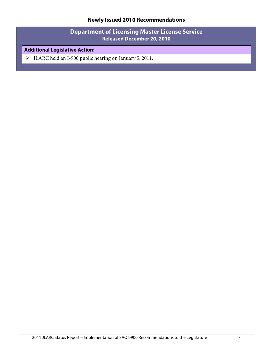**Department of Licensing Master License Service Released December 20, 2010**

### **Additional Legislative Action:**

JLARC held an I-900 public hearing on January 5, 2011.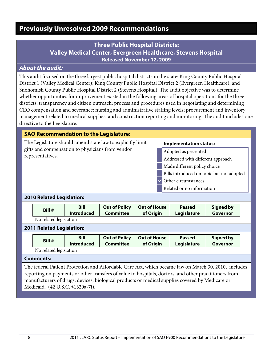### <span id="page-11-1"></span><span id="page-11-0"></span>**Three Public Hospital Districts: Valley Medical Center, Evergreen Healthcare, Stevens Hospital Released November 12, 2009**

### *About the audit:*

This audit focused on the three largest public hospital districts in the state: King County Public Hospital District 1 (Valley Medical Center); King County Public Hospital District 2 (Evergreen Healthcare); and Snohomish County Public Hospital District 2 (Stevens Hospital). The audit objective was to determine whether opportunities for improvement existed in the following areas of hospital operations for the three districts: transparency and citizen outreach; process and procedures used in negotiating and determining CEO compensation and severance; nursing and administrative staffing levels; procurement and inventory management related to medical supplies; and construction reporting and monitoring. The audit includes one directive to the Legislature.

#### **SAO Recommendation to the Legislature:**

The Legislature should amend state law to explicitly limit gifts and compensation to physicians from vendor representatives.

#### **Implementation status:**

- Adopted as presented
- Addressed with different approach
- Made different policy choice
- Bills introduced on topic but not adopted
- Other circumstances
- Related or no information

#### **2010 Related Legislation:**

| Bill #                 | <b>Bill</b>       | Out of Policy    | Out of House | <b>Passed</b> | Signed by |
|------------------------|-------------------|------------------|--------------|---------------|-----------|
|                        | <b>Introduced</b> | <b>Committee</b> | of Origin    | Legislature   | Governor  |
| No related legislation |                   |                  |              |               |           |

#### **2011 Related Legislation:**

| Bill #                 | <b>Bill</b>       | <b>Out of Policy</b> | <b>Out of House</b> | <b>Passed</b> | <b>Signed by</b> |
|------------------------|-------------------|----------------------|---------------------|---------------|------------------|
|                        | <b>Introduced</b> | Committee            | of Origin           | Legislature   | Governor         |
| No related legislation |                   |                      |                     |               |                  |

#### **Comments:**

The federal Patient Protection and Affordable Care Act, which became law on March 30, 2010, includes reporting on payments or other transfers of value to hospitals, doctors, and other practitioners from manufacturers of drugs, devices, biological products or medical supplies covered by Medicare or Medicaid. (42 U.S.C. §1320a-7i).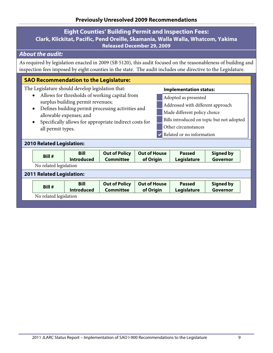### <span id="page-12-0"></span>**Eight Counties' Building Permit and Inspection Fees: Clark, Klickitat, Pacific, Pend Oreille, Skamania, Walla Walla, Whatcom, Yakima Released December 29, 2009**

### *About the audit:*

As required by legislation enacted in 2009 (SB 5120), this audit focused on the reasonableness of building and inspection fees imposed by eight counties in the state. The audit includes one directive to the Legislature.

#### **SAO Recommendation to the Legislature:**

The Legislature should develop legislation that:

- Allows for thresholds of working capital from surplus building permit revenues;
- Defines building permit processing activities and allowable expenses; and
- Specifically allows for appropriate indirect costs for all permit types.

#### **Implementation status:**

- Adopted as presented
- Addressed with different approach
- Made different policy choice
- Bills introduced on topic but not adopted
- Other circumstances
- Related or no information

#### **2010 Related Legislation:**

|                                  | Bill # | <b>Bill</b><br><b>Introduced</b> | <b>Out of Policy</b><br><b>Committee</b> | <b>Out of House</b><br>of Origin | <b>Passed</b><br>Legislature | <b>Signed by</b><br><b>Governor</b> |  |
|----------------------------------|--------|----------------------------------|------------------------------------------|----------------------------------|------------------------------|-------------------------------------|--|
| No related legislation           |        |                                  |                                          |                                  |                              |                                     |  |
| <b>2011 Related Legislation:</b> |        |                                  |                                          |                                  |                              |                                     |  |
|                                  | Bill # | <b>Bill</b><br><b>Introduced</b> | <b>Out of Policy</b><br><b>Committee</b> | <b>Out of House</b><br>of Origin | <b>Passed</b><br>Legislature | <b>Signed by</b><br>Governor        |  |
| No related legislation           |        |                                  |                                          |                                  |                              |                                     |  |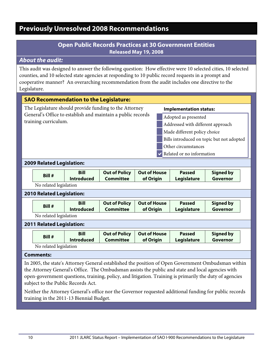### **Open Public Records Practices at 30 Government Entities Released May 19, 2008**

### <span id="page-13-1"></span><span id="page-13-0"></span>*About the audit:*

This audit was designed to answer the following question: How effective were 10 selected cities, 10 selected counties, and 10 selected state agencies at responding to 10 public record requests in a prompt and cooperative manner? An overarching recommendation from the audit includes one directive to the Legislature.

| <b>SAO Recommendation to the Legislature:</b>                                                                                                                                                                                                                                                                                                            |                                                           |                                  |                                                        |                                  |                               |                              |  |  |  |
|----------------------------------------------------------------------------------------------------------------------------------------------------------------------------------------------------------------------------------------------------------------------------------------------------------------------------------------------------------|-----------------------------------------------------------|----------------------------------|--------------------------------------------------------|----------------------------------|-------------------------------|------------------------------|--|--|--|
|                                                                                                                                                                                                                                                                                                                                                          |                                                           |                                  | The Legislature should provide funding to the Attorney |                                  | <b>Implementation status:</b> |                              |  |  |  |
| General's Office to establish and maintain a public records<br>Adopted as presented                                                                                                                                                                                                                                                                      |                                                           |                                  |                                                        |                                  |                               |                              |  |  |  |
|                                                                                                                                                                                                                                                                                                                                                          | training curriculum.<br>Addressed with different approach |                                  |                                                        |                                  |                               |                              |  |  |  |
|                                                                                                                                                                                                                                                                                                                                                          | Made different policy choice                              |                                  |                                                        |                                  |                               |                              |  |  |  |
|                                                                                                                                                                                                                                                                                                                                                          | Bills introduced on topic but not adopted                 |                                  |                                                        |                                  |                               |                              |  |  |  |
|                                                                                                                                                                                                                                                                                                                                                          |                                                           |                                  |                                                        |                                  | Other circumstances           |                              |  |  |  |
|                                                                                                                                                                                                                                                                                                                                                          |                                                           |                                  |                                                        |                                  | Related or no information     |                              |  |  |  |
| 2009 Related Legislation:                                                                                                                                                                                                                                                                                                                                |                                                           |                                  |                                                        |                                  |                               |                              |  |  |  |
|                                                                                                                                                                                                                                                                                                                                                          | Bill #                                                    | <b>Bill</b>                      | <b>Out of Policy</b>                                   | <b>Out of House</b>              | <b>Passed</b>                 | <b>Signed by</b>             |  |  |  |
|                                                                                                                                                                                                                                                                                                                                                          |                                                           | <b>Introduced</b>                | <b>Committee</b>                                       | of Origin                        | Legislature                   | <b>Governor</b>              |  |  |  |
|                                                                                                                                                                                                                                                                                                                                                          | No related legislation                                    |                                  |                                                        |                                  |                               |                              |  |  |  |
|                                                                                                                                                                                                                                                                                                                                                          | <b>2010 Related Legislation:</b>                          |                                  |                                                        |                                  |                               |                              |  |  |  |
|                                                                                                                                                                                                                                                                                                                                                          |                                                           | <b>Bill</b>                      | <b>Out of Policy</b>                                   | <b>Out of House</b>              | <b>Passed</b>                 | <b>Signed by</b>             |  |  |  |
|                                                                                                                                                                                                                                                                                                                                                          | Bill #                                                    | <b>Introduced</b>                | <b>Committee</b>                                       | of Origin                        | Legislature                   | Governor                     |  |  |  |
|                                                                                                                                                                                                                                                                                                                                                          | No related legislation                                    |                                  |                                                        |                                  |                               |                              |  |  |  |
| 2011 Related Legislation:                                                                                                                                                                                                                                                                                                                                |                                                           |                                  |                                                        |                                  |                               |                              |  |  |  |
|                                                                                                                                                                                                                                                                                                                                                          | Bill #                                                    | <b>Bill</b><br><b>Introduced</b> | <b>Out of Policy</b><br><b>Committee</b>               | <b>Out of House</b><br>of Origin | <b>Passed</b><br>Legislature  | <b>Signed by</b><br>Governor |  |  |  |
|                                                                                                                                                                                                                                                                                                                                                          | No related legislation                                    |                                  |                                                        |                                  |                               |                              |  |  |  |
| <b>Comments:</b>                                                                                                                                                                                                                                                                                                                                         |                                                           |                                  |                                                        |                                  |                               |                              |  |  |  |
| In 2005, the state's Attorney General established the position of Open Government Ombudsman within<br>the Attorney General's Office. The Ombudsman assists the public and state and local agencies with<br>open-government questions, training, policy, and litigation. Training is primarily the duty of agencies<br>subject to the Public Records Act. |                                                           |                                  |                                                        |                                  |                               |                              |  |  |  |

Neither the Attorney General's office nor the Governor requested additional funding for public records training in the 2011-13 Biennial Budget.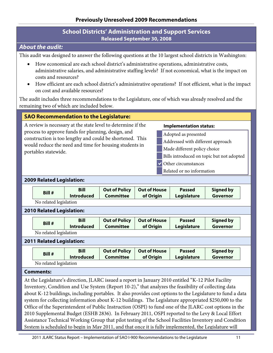### **School Districts' Administration and Support Services Released September 30, 2008**

### <span id="page-14-0"></span>*About the audit:*

This audit was designed to answer the following questions at the 10 largest school districts in Washington:

- How economical are each school district's administrative operations, administrative costs, administrative salaries, and administrative staffing levels? If not economical, what is the impact on costs and resources?
- How efficient are each school district's administrative operations? If not efficient, what is the impact on cost and available resources?

The audit includes three recommendations to the Legislature, one of which was already resolved and the remaining two of which are included below.

#### **SAO Recommendation to the Legislature:**

A review is necessary at the state level to determine if the process to approve funds for planning, design, and construction is too lengthy and could be shortened. This would reduce the need and time for housing students in portables statewide.

#### **Implementation status:**

- Adopted as presented
- Addressed with different approach
- Made different policy choice
- Bills introduced on topic but not adopted
- Other circumstances
- Related or no information

#### **2009 Related Legislation:**

| <b>Bill #</b> | Bill              | <b>Out of Policy</b> | Out of House | <b>Passed</b> | <b>Signed by</b> |
|---------------|-------------------|----------------------|--------------|---------------|------------------|
|               | <b>Introduced</b> | <b>Committee</b>     | of Origin    | Legislature   | Governor         |

No related legislation

#### **2010 Related Legislation:**

| <b>Bill</b><br>Bill #<br><b>Introduced</b> | <b>Out of Policy</b><br><b>Out of House</b><br><b>Committee</b><br>of Origin | <b>Passed</b><br><b>Legislature</b> | <b>Signed by</b><br>Governor |
|--------------------------------------------|------------------------------------------------------------------------------|-------------------------------------|------------------------------|
|--------------------------------------------|------------------------------------------------------------------------------|-------------------------------------|------------------------------|

No related legislation

#### **2011 Related Legislation:**

| Bill #                 | <b>Bill</b>       | <b>Out of Policy</b> | Out of House | <b>Passed</b>      | <b>Signed by</b> |
|------------------------|-------------------|----------------------|--------------|--------------------|------------------|
|                        | <b>Introduced</b> | <b>Committee</b>     | of Origin    | <b>Legislature</b> | Governor         |
| No related legislation |                   |                      |              |                    |                  |

#### **Comments:**

At the Legislature's direction, JLARC issued a report in January 2010 entitled "K-12 Pilot Facility Inventory, Condition and Use System (Report 10-2)," that analyzes the feasibility of collecting data about K-12 buildings, including portables. It also provides cost options to the Legislature to fund a data system for collecting information about K-12 buildings. The Legislature appropriated \$250,000 to the Office of the Superintendent of Public Instruction (OSPI) to fund one of the JLARC cost options in the 2010 Supplemental Budget (ESHB 2836). In February 2011, OSPI reported to the Levy & Local Effort Assistance Technical Working Group that pilot testing of the School Facilities Inventory and Condition System is scheduled to begin in May 2011, and that once it is fully implemented, the Legislature will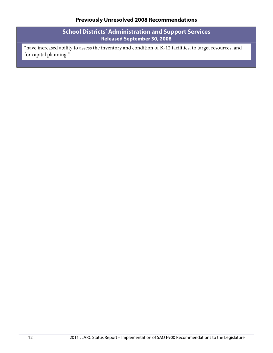**School Districts' Administration and Support Services Released September 30, 2008**

"have increased ability to assess the inventory and condition of K-12 facilities, to target resources, and for capital planning."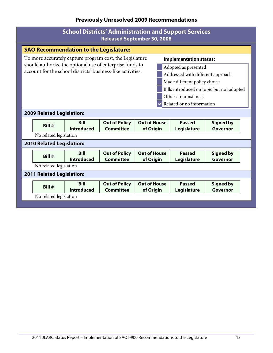|                                                                                                                                                                                                                                                                                                                                                                                                                                                        |                                        |                                               | <b>Released September 30, 2008</b>       |                                  | <b>School Districts' Administration and Support Services</b> |                              |
|--------------------------------------------------------------------------------------------------------------------------------------------------------------------------------------------------------------------------------------------------------------------------------------------------------------------------------------------------------------------------------------------------------------------------------------------------------|----------------------------------------|-----------------------------------------------|------------------------------------------|----------------------------------|--------------------------------------------------------------|------------------------------|
|                                                                                                                                                                                                                                                                                                                                                                                                                                                        |                                        | <b>SAO Recommendation to the Legislature:</b> |                                          |                                  |                                                              |                              |
| To more accurately capture program cost, the Legislature<br><b>Implementation status:</b><br>should authorize the optional use of enterprise funds to<br>Adopted as presented<br>account for the school districts' business-like activities.<br>Addressed with different approach<br>Made different policy choice<br>Bills introduced on topic but not adopted<br>Other circumstances<br>Related or no information<br><b>2009 Related Legislation:</b> |                                        |                                               |                                          |                                  |                                                              |                              |
|                                                                                                                                                                                                                                                                                                                                                                                                                                                        |                                        |                                               |                                          |                                  |                                                              |                              |
|                                                                                                                                                                                                                                                                                                                                                                                                                                                        | Bill #<br>No related legislation       | <b>Bill</b><br><b>Introduced</b>              | <b>Out of Policy</b><br><b>Committee</b> | <b>Out of House</b><br>of Origin | <b>Passed</b><br>Legislature                                 | <b>Signed by</b><br>Governor |
|                                                                                                                                                                                                                                                                                                                                                                                                                                                        | <b>2010 Related Legislation:</b>       |                                               |                                          |                                  |                                                              |                              |
|                                                                                                                                                                                                                                                                                                                                                                                                                                                        | Bill #<br>No related legislation       | <b>Bill</b><br><b>Introduced</b>              | <b>Out of Policy</b><br><b>Committee</b> | <b>Out of House</b><br>of Origin | <b>Passed</b><br>Legislature                                 | <b>Signed by</b><br>Governor |
|                                                                                                                                                                                                                                                                                                                                                                                                                                                        | <b>2011 Related Legislation:</b>       |                                               |                                          |                                  |                                                              |                              |
|                                                                                                                                                                                                                                                                                                                                                                                                                                                        | <b>Bill#</b><br>No related legislation | <b>Bill</b><br><b>Introduced</b>              | <b>Out of Policy</b><br><b>Committee</b> | <b>Out of House</b><br>of Origin | <b>Passed</b><br>Legislature                                 | <b>Signed by</b><br>Governor |
|                                                                                                                                                                                                                                                                                                                                                                                                                                                        |                                        |                                               |                                          |                                  |                                                              |                              |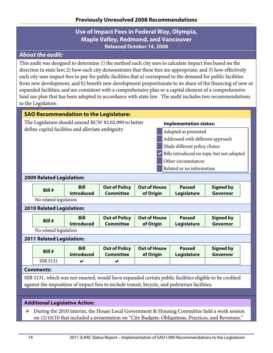### **Use of Impact Fees in Federal Way, Olympia, Maple Valley, Redmond, and Vancouver Released October 14, 2008**

### <span id="page-17-0"></span>*About the audit:*

This audit was designed to determine 1) the method each city uses to calculate impact fees based on the direction in state law; 2) how each city demonstrates that these fees are appropriate; and 3) how effectively each city uses impact fees to pay for public facilities that a) correspond to the demand for public facilities from new development, and b) benefit new development proportionate to its share of the financing of new or expanded facilities; and are consistent with a comprehensive plan or a capital element of a comprehensive land use plan that has been adopted in accordance with state law. The audit includes two recommendations to the Legislature.

### **SAO Recommendation to the Legislature: Implementation status:** Adopted as presented Addressed with different approach Made different policy choice Bills introduced on topic but not adopted Other circumstances Related or no information The Legislature should amend RCW 82.02.090 to better define capital facilities and alleviate ambiguity. **2009 Related Legislation:**

| Bill #                 | <b>Bill</b>       | <b>Out of Policy</b> | Out of House | <b>Passed</b> | <b>Signed by</b> |
|------------------------|-------------------|----------------------|--------------|---------------|------------------|
|                        | <b>Introduced</b> | Committee            | of Origin    | Legislature   | Governor         |
| No related legislation |                   |                      |              |               |                  |

# **2010 Related Legislation:**

| Bill #        | Bill<br><b>Introduced</b> | <b>Out of Policy</b><br><b>Committee</b> | <b>Out of House</b><br>of Origin | <b>Passed</b><br>Legislature | <b>Signed by</b><br>Governor |
|---------------|---------------------------|------------------------------------------|----------------------------------|------------------------------|------------------------------|
| $\sim$ $\sim$ |                           |                                          |                                  |                              |                              |

No related legislation

#### **2011 Related Legislation:**

| Bill #   | <b>Bill</b>       | <b>Out of Policy</b> | <b>Out of House</b> | <b>Passed</b> | <b>Signed by</b> |
|----------|-------------------|----------------------|---------------------|---------------|------------------|
|          | <b>Introduced</b> | <b>Committee</b>     | of Origin           | Legislature   | Governor         |
| SSB 5131 |                   |                      |                     |               |                  |

#### **Comments:**

SSB 5131, which was not enacted, would have expanded certain public facilities eligible to be credited against the imposition of impact fees to include transit, bicycle, and pedestrian facilities.

### **Additional Legislative Action:**

 During the 2010 interim, the House Local Government & Housing Committee held a work session on 12/10/10 that included a presentation on "City Budgets: Obligations, Practices, and Revenues."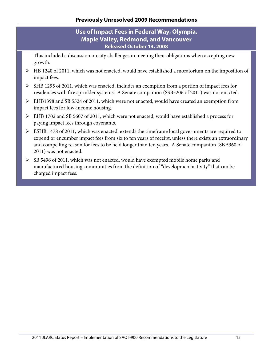### **Use of Impact Fees in Federal Way, Olympia, Maple Valley, Redmond, and Vancouver Released October 14, 2008**

This included a discussion on city challenges in meeting their obligations when accepting new growth.

- $\triangleright$  HB 1240 of 2011, which was not enacted, would have established a moratorium on the imposition of impact fees.
- SHB 1295 of 2011, which was enacted, includes an exemption from a portion of impact fees for residences with fire sprinkler systems. A Senate companion (SSB5206 of 2011) was not enacted.
- EHB1398 and SB 5524 of 2011, which were not enacted, would have created an exemption from impact fees for low-income housing.
- EHB 1702 and SB 5607 of 2011, which were not enacted, would have established a process for paying impact fees through covenants.
- ESHB 1478 of 2011, which was enacted, extends the timeframe local governments are required to expend or encumber impact fees from six to ten years of receipt, unless there exists an extraordinary and compelling reason for fees to be held longer than ten years. A Senate companion (SB 5360 of 2011) was not enacted.
- $\triangleright$  SB 5496 of 2011, which was not enacted, would have exempted mobile home parks and manufactured housing communities from the definition of "development activity" that can be charged impact fees.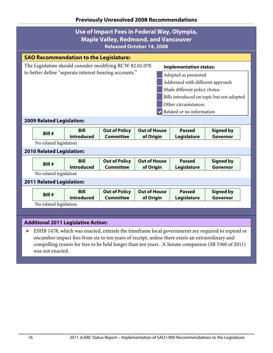|                                                                                          |                                               |                                            | Use of Impact Fees in Federal Way, Olympia,<br><b>Maple Valley, Redmond, and Vancouver</b><br><b>Released October 14, 2008</b> |                                  |  |                                                                                                 |                                                                                                 |  |  |
|------------------------------------------------------------------------------------------|-----------------------------------------------|--------------------------------------------|--------------------------------------------------------------------------------------------------------------------------------|----------------------------------|--|-------------------------------------------------------------------------------------------------|-------------------------------------------------------------------------------------------------|--|--|
|                                                                                          | <b>SAO Recommendation to the Legislature:</b> |                                            |                                                                                                                                |                                  |  |                                                                                                 |                                                                                                 |  |  |
| The Legislature should consider modifying RCW 82.02.070<br><b>Implementation status:</b> |                                               |                                            |                                                                                                                                |                                  |  |                                                                                                 |                                                                                                 |  |  |
| to better define "separate interest-bearing accounts."<br>Adopted as presented           |                                               |                                            |                                                                                                                                |                                  |  |                                                                                                 |                                                                                                 |  |  |
| Addressed with different approach                                                        |                                               |                                            |                                                                                                                                |                                  |  |                                                                                                 |                                                                                                 |  |  |
|                                                                                          |                                               |                                            |                                                                                                                                |                                  |  | Made different policy choice                                                                    |                                                                                                 |  |  |
|                                                                                          |                                               |                                            |                                                                                                                                |                                  |  |                                                                                                 | Bills introduced on topic but not adopted                                                       |  |  |
|                                                                                          |                                               |                                            |                                                                                                                                |                                  |  | Other circumstances                                                                             |                                                                                                 |  |  |
|                                                                                          |                                               |                                            |                                                                                                                                |                                  |  | Related or no information                                                                       |                                                                                                 |  |  |
|                                                                                          | <b>2009 Related Legislation:</b>              |                                            |                                                                                                                                |                                  |  |                                                                                                 |                                                                                                 |  |  |
|                                                                                          | Bill #                                        | <b>Bill</b>                                | <b>Out of Policy</b>                                                                                                           | <b>Out of House</b>              |  | <b>Passed</b>                                                                                   | <b>Signed by</b>                                                                                |  |  |
|                                                                                          | No related legislation                        | <b>Introduced</b>                          | <b>Committee</b>                                                                                                               | of Origin                        |  | Legislature                                                                                     | Governor                                                                                        |  |  |
|                                                                                          | <b>2010 Related Legislation:</b>              |                                            |                                                                                                                                |                                  |  |                                                                                                 |                                                                                                 |  |  |
|                                                                                          |                                               |                                            |                                                                                                                                |                                  |  |                                                                                                 |                                                                                                 |  |  |
|                                                                                          | Bill #                                        | <b>Bill</b><br><b>Introduced</b>           | <b>Out of Policy</b><br><b>Committee</b>                                                                                       | <b>Out of House</b><br>of Origin |  | <b>Passed</b><br>Legislature                                                                    | <b>Signed by</b><br>Governor                                                                    |  |  |
|                                                                                          | No related legislation                        |                                            |                                                                                                                                |                                  |  |                                                                                                 |                                                                                                 |  |  |
|                                                                                          | 2011 Related Legislation:                     |                                            |                                                                                                                                |                                  |  |                                                                                                 |                                                                                                 |  |  |
|                                                                                          |                                               | <b>Bill</b>                                | <b>Out of Policy</b>                                                                                                           | <b>Out of House</b>              |  | <b>Passed</b>                                                                                   | <b>Signed by</b>                                                                                |  |  |
|                                                                                          | Bill #                                        | <b>Introduced</b>                          | <b>Committee</b>                                                                                                               | of Origin                        |  | Legislature                                                                                     | Governor                                                                                        |  |  |
|                                                                                          | No related legislation                        |                                            |                                                                                                                                |                                  |  |                                                                                                 |                                                                                                 |  |  |
|                                                                                          |                                               |                                            |                                                                                                                                |                                  |  |                                                                                                 |                                                                                                 |  |  |
|                                                                                          |                                               | <b>Additional 2011 Legislative Action:</b> |                                                                                                                                |                                  |  |                                                                                                 |                                                                                                 |  |  |
| $\blacktriangleright$                                                                    |                                               |                                            |                                                                                                                                |                                  |  |                                                                                                 | ESHB 1478, which was enacted, extends the timeframe local governments are required to expend or |  |  |
|                                                                                          |                                               |                                            |                                                                                                                                |                                  |  | encumber impact fees from six to ten years of receipt, unless there exists an extraordinary and |                                                                                                 |  |  |

compelling reason for fees to be held longer than ten years. A Senate companion (SB 5360 of 2011) was not enacted.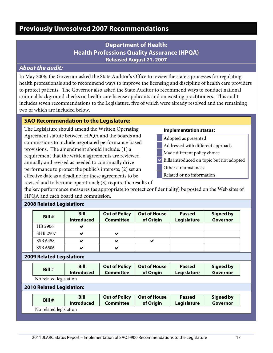### **Department of Health: Health Professions Quality Assurance (HPQA) Released August 21, 2007**

### <span id="page-20-1"></span><span id="page-20-0"></span>*About the audit:*

In May 2006, the Governor asked the State Auditor's Office to review the state's processes for regulating health professionals and to recommend ways to improve the licensing and discipline of health care providers to protect patients. The Governor also asked the State Auditor to recommend ways to conduct national criminal background checks on health care license applicants and on existing practitioners. This audit includes seven recommendations to the Legislature, five of which were already resolved and the remaining two of which are included below.

#### **SAO Recommendation to the Legislature:**

The Legislature should amend the Written Operating Agreement statute between HPQA and the boards and commissions to include negotiated performance-based provisions. The amendment should include: (1) a requirement that the written agreements are reviewed annually and revised as needed to continually drive performance to protect the public's interests; (2) set an effective date as a deadline for these agreements to be revised and to become operational; (3) require the results of

#### **Implementation status:**

- Adopted as presented
- Addressed with different approach
- Made different policy choice
- Bills introduced on topic but not adopted
- Other circumstances
- Related or no information

the key performance measures (as appropriate to protect confidentiality) be posted on the Web sites of HPQA and each board and commission.

| $\sim$   |                                  |                                          |                                  |                              |                              |
|----------|----------------------------------|------------------------------------------|----------------------------------|------------------------------|------------------------------|
| Bill #   | <b>Bill</b><br><b>Introduced</b> | <b>Out of Policy</b><br><b>Committee</b> | <b>Out of House</b><br>of Origin | <b>Passed</b><br>Legislature | <b>Signed by</b><br>Governor |
| HB 2906  | ✔                                |                                          |                                  |                              |                              |
| SHB 2907 | ✔                                | м                                        |                                  |                              |                              |
| SSB 6458 | ✔                                | м                                        |                                  |                              |                              |
| SSB 6506 | ✔                                |                                          |                                  |                              |                              |

### **2008 Related Legislation:**

#### **2009 Related Legislation:**

|                                                                                                                                                                                            | Bill #                           | <b>Bill</b><br><b>Introduced</b> | <b>Out of Policy</b><br><b>Committee</b> | <b>Out of House</b><br>of Origin | <b>Passed</b><br>Legislature | <b>Signed by</b><br><b>Governor</b> |  |  |  |
|--------------------------------------------------------------------------------------------------------------------------------------------------------------------------------------------|----------------------------------|----------------------------------|------------------------------------------|----------------------------------|------------------------------|-------------------------------------|--|--|--|
|                                                                                                                                                                                            | No related legislation           |                                  |                                          |                                  |                              |                                     |  |  |  |
|                                                                                                                                                                                            | <b>2010 Related Legislation:</b> |                                  |                                          |                                  |                              |                                     |  |  |  |
| <b>Out of House</b><br><b>Bill</b><br><b>Out of Policy</b><br><b>Signed by</b><br><b>Passed</b><br>Bill #<br><b>Committee</b><br>Governor<br>of Origin<br><b>Introduced</b><br>Legislature |                                  |                                  |                                          |                                  |                              |                                     |  |  |  |
|                                                                                                                                                                                            | No related legislation           |                                  |                                          |                                  |                              |                                     |  |  |  |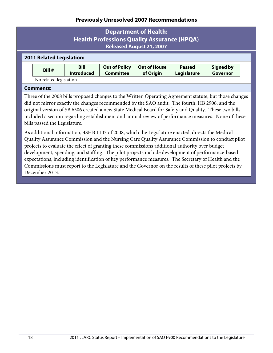### **Department of Health: Health Professions Quality Assurance (HPQA) Released August 21, 2007**

#### **2011 Related Legislation:**

| Bill #                 | <b>Bill</b>       | <b>Out of Policy</b> | Out of House | <b>Passed</b>      | <b>Signed by</b> |
|------------------------|-------------------|----------------------|--------------|--------------------|------------------|
|                        | <b>Introduced</b> | Committee            | of Origin    | <b>Legislature</b> | Governor         |
| No related legislation |                   |                      |              |                    |                  |

#### **Comments:**

Three of the 2008 bills proposed changes to the Written Operating Agreement statute, but those changes did not mirror exactly the changes recommended by the SAO audit. The fourth, HB 2906, and the original version of SB 6506 created a new State Medical Board for Safety and Quality. These two bills included a section regarding establishment and annual review of performance measures. None of these bills passed the Legislature.

As additional information, 4SHB 1103 of 2008, which the Legislature enacted, directs the Medical Quality Assurance Commission and the Nursing Care Quality Assurance Commission to conduct pilot projects to evaluate the effect of granting these commissions additional authority over budget development, spending, and staffing. The pilot projects include development of performance-based expectations, including identification of key performance measures. The Secretary of Health and the Commissions must report to the Legislature and the Governor on the results of these pilot projects by December 2013.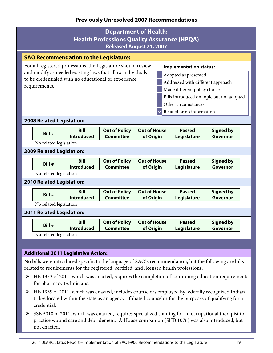|                                                                                                                                                                                                                                                                                                                                                                                                       |                                               |                                  | <b>Department of Health:</b><br><b>Released August 21, 2007</b> |                                  | <b>Health Professions Quality Assurance (HPQA)</b> |                              |  |  |  |
|-------------------------------------------------------------------------------------------------------------------------------------------------------------------------------------------------------------------------------------------------------------------------------------------------------------------------------------------------------------------------------------------------------|-----------------------------------------------|----------------------------------|-----------------------------------------------------------------|----------------------------------|----------------------------------------------------|------------------------------|--|--|--|
|                                                                                                                                                                                                                                                                                                                                                                                                       | <b>SAO Recommendation to the Legislature:</b> |                                  |                                                                 |                                  |                                                    |                              |  |  |  |
| For all registered professions, the Legislature should review<br><b>Implementation status:</b><br>and modify as needed existing laws that allow individuals<br>Adopted as presented<br>to be credentialed with no educational or experience<br>Addressed with different approach<br>requirements.<br>Made different policy choice<br>Bills introduced on topic but not adopted<br>Other circumstances |                                               |                                  |                                                                 |                                  |                                                    |                              |  |  |  |
|                                                                                                                                                                                                                                                                                                                                                                                                       |                                               |                                  |                                                                 |                                  | Related or no information                          |                              |  |  |  |
|                                                                                                                                                                                                                                                                                                                                                                                                       | <b>2008 Related Legislation:</b>              |                                  |                                                                 |                                  |                                                    |                              |  |  |  |
|                                                                                                                                                                                                                                                                                                                                                                                                       | Bill #                                        | <b>Bill</b><br><b>Introduced</b> | <b>Out of Policy</b><br><b>Committee</b>                        | <b>Out of House</b><br>of Origin | <b>Passed</b><br>Legislature                       | <b>Signed by</b><br>Governor |  |  |  |
|                                                                                                                                                                                                                                                                                                                                                                                                       | No related legislation                        |                                  |                                                                 |                                  |                                                    |                              |  |  |  |
|                                                                                                                                                                                                                                                                                                                                                                                                       | <b>2009 Related Legislation:</b>              |                                  |                                                                 |                                  |                                                    |                              |  |  |  |
|                                                                                                                                                                                                                                                                                                                                                                                                       | Bill #                                        | <b>Bill</b><br><b>Introduced</b> | <b>Out of Policy</b><br><b>Committee</b>                        | <b>Out of House</b><br>of Origin | <b>Passed</b><br>Legislature                       | <b>Signed by</b><br>Governor |  |  |  |
|                                                                                                                                                                                                                                                                                                                                                                                                       | No related legislation                        |                                  |                                                                 |                                  |                                                    |                              |  |  |  |
|                                                                                                                                                                                                                                                                                                                                                                                                       | <b>2010 Related Legislation:</b>              |                                  |                                                                 |                                  |                                                    |                              |  |  |  |
|                                                                                                                                                                                                                                                                                                                                                                                                       | Bill #                                        | <b>Bill</b><br><b>Introduced</b> | <b>Out of Policy</b><br><b>Committee</b>                        | <b>Out of House</b><br>of Origin | <b>Passed</b><br>Legislature                       | <b>Signed by</b><br>Governor |  |  |  |
|                                                                                                                                                                                                                                                                                                                                                                                                       | No related legislation                        |                                  |                                                                 |                                  |                                                    |                              |  |  |  |
|                                                                                                                                                                                                                                                                                                                                                                                                       | <b>2011 Related Legislation:</b>              |                                  |                                                                 |                                  |                                                    |                              |  |  |  |
|                                                                                                                                                                                                                                                                                                                                                                                                       | Bill #                                        | <b>Bill</b><br><b>Introduced</b> | <b>Out of Policy</b><br><b>Committee</b>                        | <b>Out of House</b><br>of Origin | <b>Passed</b><br>Legislature                       | <b>Signed by</b><br>Governor |  |  |  |
|                                                                                                                                                                                                                                                                                                                                                                                                       | No related legislation                        |                                  |                                                                 |                                  |                                                    |                              |  |  |  |

#### **Additional 2011 Legislative Action:**

No bills were introduced specific to the language of SAO's recommendation, but the following are bills related to requirements for the registered, certified, and licensed health professions.

- $\triangleright$  HB 1353 of 2011, which was enacted, requires the completion of continuing education requirements for pharmacy technicians.
- HB 1939 of 2011, which was enacted, includes counselors employed by federally recognized Indian tribes located within the state as an agency-affiliated counselor for the purposes of qualifying for a credential.
- $\triangleright$  SSB 5018 of 2011, which was enacted, requires specialized training for an occupational therapist to practice wound care and debridement. A House companion (SHB 1076) was also introduced, but not enacted.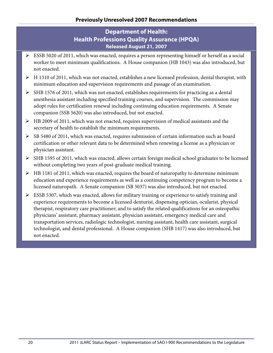### **Department of Health: Health Professions Quality Assurance (HPQA) Released August 21, 2007**

- ESSB 5020 of 2011, which was enacted, requires a person representing himself or herself as a social worker to meet minimum qualifications. A House companion (HB 1043) was also introduced, but not enacted.
- $\triangleright$  H 1310 of 2011, which was not enacted, establishes a new licensed profession, dental therapist, with minimum education and supervision requirements and passage of an examination.
- $\triangleright$  SHB 1576 of 2011, which was not enacted, establishes requirements for practicing as a dental anesthesia assistant including specified training courses, and supervision. The commission may adopt rules for certification renewal including continuing education requirements. A Senate companion (SSB 5620) was also introduced, but not enacted.
- $\triangleright$  HB 2009 of 2011, which was not enacted, requires supervision of medical assistants and the secretary of health to establish the minimum requirements.
- $\triangleright$  SB 5480 of 2011, which was enacted, requires submission of certain information such as board certification or other relevant data to be determined when renewing a license as a physician or physician assistant.
- $\triangleright$  SHB 1595 of 2011, which was enacted, allows certain foreign medical school graduates to be licensed without completing two years of post-graduate medical training.
- $\triangleright$  HB 1181 of 2011, which was enacted, requires the board of naturopathy to determine minimum education and experience requirements as well as a continuing competency program to become a licensed naturopath. A Senate companion (SB 5037) was also introduced, but not enacted.
- $\triangleright$  ESSB 5307, which was enacted, allows for military training or experience to satisfy training and experience requirements to become a licensed denturist, dispensing optician, ocularist, physical therapist, respiratory care practitioner; and to satisfy the related qualifications for an osteopathic physicians' assistant, pharmacy assistant, physician assistant, emergency medical care and transportation services, radiologic technologist, nursing assistant, health care assistant, surgical technologist, and dental professional. A House companion (SHB 1417) was also introduced, but not enacted.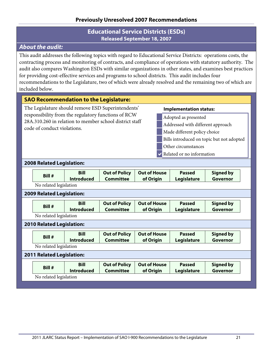### **Educational Service Districts (ESDs) Released September 18, 2007**

### <span id="page-24-0"></span>*About the audit:*

This audit addresses the following topics with regard to Educational Service Districts: operations costs, the contracting process and monitoring of contracts, and compliance of operations with statutory authority. The audit also compares Washington ESDs with similar organizations in other states, and examines best practices for providing cost-effective services and programs to school districts. This audit includes four recommendations to the Legislature, two of which were already resolved and the remaining two of which are included below.

### **SAO Recommendation to the Legislature:**

The Legislature should remove ESD Superintendents' responsibility from the regulatory functions of RCW 28A.310.260 in relation to member school district staff code of conduct violations.

#### **Implementation status:**

- Adopted as presented
- Addressed with different approach
- Made different policy choice
- Bills introduced on topic but not adopted
- Other circumstances
- Related or no information

#### **2008 Related Legislation:**

| Bill #                           | <b>Bill</b><br><b>Introduced</b> | <b>Out of Policy</b><br><b>Committee</b> | <b>Out of House</b><br>of Origin | <b>Passed</b><br><b>Legislature</b> | <b>Signed by</b><br>Governor |
|----------------------------------|----------------------------------|------------------------------------------|----------------------------------|-------------------------------------|------------------------------|
| No related legislation           |                                  |                                          |                                  |                                     |                              |
| <b>2009 Related Legislation:</b> |                                  |                                          |                                  |                                     |                              |
| Bill #                           | <b>Bill</b><br><b>Introduced</b> | <b>Out of Policy</b><br><b>Committee</b> | <b>Out of House</b><br>of Origin | <b>Passed</b><br>Legislature        | <b>Signed by</b><br>Governor |
| No related legislation           |                                  |                                          |                                  |                                     |                              |
| <b>2010 Related Legislation:</b> |                                  |                                          |                                  |                                     |                              |
| Bill #                           | <b>Bill</b><br><b>Introduced</b> | <b>Out of Policy</b><br><b>Committee</b> | <b>Out of House</b><br>of Origin | <b>Passed</b><br>Legislature        | <b>Signed by</b><br>Governor |
| No related legislation           |                                  |                                          |                                  |                                     |                              |
| <b>2011 Related Legislation:</b> |                                  |                                          |                                  |                                     |                              |
| Bill #                           | <b>Bill</b><br><b>Introduced</b> | <b>Out of Policy</b><br><b>Committee</b> | <b>Out of House</b><br>of Origin | <b>Passed</b><br>Legislature        | <b>Signed by</b><br>Governor |
| No related legislation           |                                  |                                          |                                  |                                     |                              |
|                                  |                                  |                                          |                                  |                                     |                              |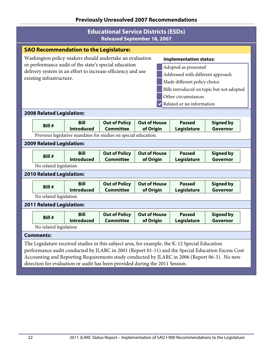### **Educational Service Districts (ESDs) Released September 18, 2007**

|                                                                                                   | Released September 18, 2007                                                                      |                   |                                                                 |                     |                                           |                  |  |  |  |
|---------------------------------------------------------------------------------------------------|--------------------------------------------------------------------------------------------------|-------------------|-----------------------------------------------------------------|---------------------|-------------------------------------------|------------------|--|--|--|
| <b>SAO Recommendation to the Legislature:</b>                                                     |                                                                                                  |                   |                                                                 |                     |                                           |                  |  |  |  |
| Washington policy-makers should undertake an evaluation<br><b>Implementation status:</b>          |                                                                                                  |                   |                                                                 |                     |                                           |                  |  |  |  |
| or performance audit of the state's special education<br>Adopted as presented                     |                                                                                                  |                   |                                                                 |                     |                                           |                  |  |  |  |
|                                                                                                   | delivery system in an effort to increase efficiency and use<br>Addressed with different approach |                   |                                                                 |                     |                                           |                  |  |  |  |
|                                                                                                   | existing infrastructure.<br>Made different policy choice                                         |                   |                                                                 |                     |                                           |                  |  |  |  |
|                                                                                                   |                                                                                                  |                   |                                                                 |                     | Bills introduced on topic but not adopted |                  |  |  |  |
|                                                                                                   |                                                                                                  |                   |                                                                 |                     | Other circumstances                       |                  |  |  |  |
|                                                                                                   |                                                                                                  |                   |                                                                 |                     | Related or no information                 |                  |  |  |  |
|                                                                                                   |                                                                                                  |                   |                                                                 |                     |                                           |                  |  |  |  |
|                                                                                                   | <b>2008 Related Legislation:</b>                                                                 |                   |                                                                 |                     |                                           |                  |  |  |  |
|                                                                                                   | Bill #                                                                                           | <b>Bill</b>       | <b>Out of Policy</b>                                            | <b>Out of House</b> | <b>Passed</b>                             | <b>Signed by</b> |  |  |  |
|                                                                                                   |                                                                                                  | <b>Introduced</b> | <b>Committee</b>                                                | of Origin           | <b>Legislature</b>                        | Governor         |  |  |  |
|                                                                                                   |                                                                                                  |                   | Previous legislative mandates for studies on special education. |                     |                                           |                  |  |  |  |
|                                                                                                   | <b>2009 Related Legislation:</b>                                                                 |                   |                                                                 |                     |                                           |                  |  |  |  |
|                                                                                                   | Bill #                                                                                           | <b>Bill</b>       | <b>Out of Policy</b>                                            | <b>Out of House</b> | <b>Passed</b>                             | <b>Signed by</b> |  |  |  |
|                                                                                                   |                                                                                                  | <b>Introduced</b> | <b>Committee</b>                                                | of Origin           | Legislature                               | Governor         |  |  |  |
|                                                                                                   | No related legislation                                                                           |                   |                                                                 |                     |                                           |                  |  |  |  |
|                                                                                                   | <b>2010 Related Legislation:</b>                                                                 |                   |                                                                 |                     |                                           |                  |  |  |  |
|                                                                                                   |                                                                                                  | <b>Bill</b>       | <b>Out of Policy</b>                                            | <b>Out of House</b> | <b>Passed</b>                             | <b>Signed by</b> |  |  |  |
|                                                                                                   | Bill #                                                                                           | <b>Introduced</b> | <b>Committee</b>                                                | of Origin           | Legislature                               | Governor         |  |  |  |
|                                                                                                   | No related legislation                                                                           |                   |                                                                 |                     |                                           |                  |  |  |  |
|                                                                                                   | <b>2011 Related Legislation:</b>                                                                 |                   |                                                                 |                     |                                           |                  |  |  |  |
|                                                                                                   | Bill #                                                                                           | <b>Bill</b>       | <b>Out of Policy</b>                                            | <b>Out of House</b> | <b>Passed</b>                             | <b>Signed by</b> |  |  |  |
|                                                                                                   |                                                                                                  | <b>Introduced</b> | <b>Committee</b>                                                | of Origin           | <b>Legislature</b>                        | Governor         |  |  |  |
|                                                                                                   | No related legislation                                                                           |                   |                                                                 |                     |                                           |                  |  |  |  |
|                                                                                                   | <b>Comments:</b>                                                                                 |                   |                                                                 |                     |                                           |                  |  |  |  |
|                                                                                                   | The Legislature received studies in this subject area, for example, the K-12 Special Education   |                   |                                                                 |                     |                                           |                  |  |  |  |
| performance audit conducted by JLARC in 2001 (Report 01-11) and the Special Education Excess Cost |                                                                                                  |                   |                                                                 |                     |                                           |                  |  |  |  |
|                                                                                                   | Accounting and Reporting Requirements study conducted by JLARC in 2006 (Report 06-3). No new     |                   |                                                                 |                     |                                           |                  |  |  |  |

direction for evaluation or audit has been provided during the 2011 Session.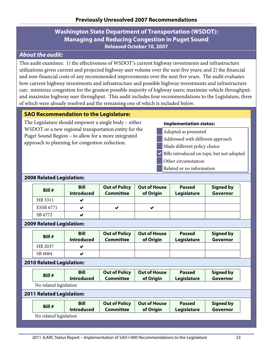### **Washington State Department of Transportation (WSDOT): Managing and Reducing Congestion in Puget Sound Released October 10, 2007**

### <span id="page-26-0"></span>*About the audit:*

This audit examines: 1) the effectiveness of WSDOT's current highway investments and infrastructure utilizations given current and projected highway user volume over the next five years; and 2) the financial and non-financial costs of any recommended improvements over the next five years. The audit evaluates how current highway investments and infrastructure and possible highway investments and infrastructure can: minimize congestion for the greatest possible majority of highway users; maximize vehicle throughput; and maximize highway user throughput. This audit includes four recommendations to the Legislature, three of which were already resolved and the remaining one of which is included below.

### **SAO Recommendation to the Legislature:**

The Legislature should empower a single body – either WSDOT or a new regional transportation entity for the Puget Sound Region – to allow for a more integrated approach to planning for congestion reduction.

#### **Implementation status:**

- Adopted as presented
- Addressed with different approach
- Made different policy choice
- Bills introduced on topic but not adopted
- Other circumstances
- Related or no information

#### **2008 Related Legislation:**

| Bill #           | <b>Bill</b><br><b>Introduced</b> | <b>Out of Policy</b><br><b>Committee</b> | <b>Out of House</b><br>of Origin | <b>Passed</b><br>Legislature | <b>Signed by</b><br>Governor |
|------------------|----------------------------------|------------------------------------------|----------------------------------|------------------------------|------------------------------|
| HB 3311          |                                  |                                          |                                  |                              |                              |
| <b>ESSB 6771</b> |                                  | $\checkmark$                             | v                                |                              |                              |
| SB 6772          |                                  |                                          |                                  |                              |                              |

#### **2009 Related Legislation:**

| Bill #  | <b>Bill</b><br><b>Introduced</b> | <b>Out of Policy</b><br>Committee | <b>Out of House</b><br>of Origin | <b>Passed</b><br>Legislature | <b>Signed by</b><br>Governor |  |
|---------|----------------------------------|-----------------------------------|----------------------------------|------------------------------|------------------------------|--|
| HB 2037 |                                  |                                   |                                  |                              |                              |  |
| SB 6064 |                                  |                                   |                                  |                              |                              |  |

#### **2010 Related Legislation:**

| Bill # | Bill              | <b>Out of Policy</b> | <b>Out of House</b> | <b>Passed</b> | <b>Signed by</b> |
|--------|-------------------|----------------------|---------------------|---------------|------------------|
|        | <b>Introduced</b> | <b>Committee</b>     | of Origin           | Legislature   | Governor         |

No related legislation

#### **2011 Related Legislation:**

| Bill #                 | <b>Bill</b>       | <b>Out of Policy</b> | <b>Out of House</b> | <b>Passed</b> | <b>Signed by</b> |  |  |
|------------------------|-------------------|----------------------|---------------------|---------------|------------------|--|--|
|                        | <b>Introduced</b> | Committee            | of Origin           | Legislature   | Governor         |  |  |
| No related legislation |                   |                      |                     |               |                  |  |  |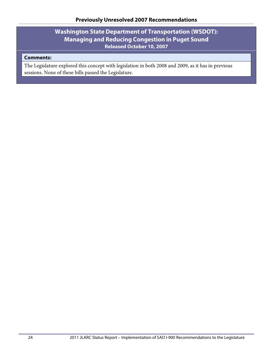## **Washington State Department of Transportation (WSDOT): Managing and Reducing Congestion in Puget Sound Released October 10, 2007**

### **Comments:**

The Legislature explored this concept with legislation in both 2008 and 2009, as it has in previous sessions. None of these bills passed the Legislature.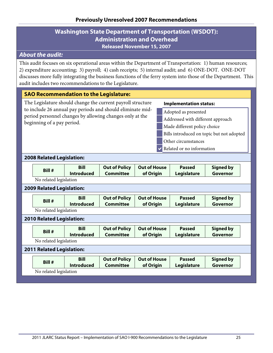### **Washington State Department of Transportation (WSDOT): Administration and Overhead Released November 15, 2007**

# <span id="page-28-0"></span>*About the audit:*

This audit focuses on six operational areas within the Department of Transportation: 1) human resources; 2) expenditure accounting; 3) payroll; 4) cash receipts; 5) internal audit; and 6) ONE-DOT. ONE-DOT discusses more fully integrating the business functions of the ferry system into those of the Department. This audit includes two recommendations to the Legislature.

### **SAO Recommendation to the Legislature:**

| <b>SAO Recommendation to the Legislature:</b> |                                                                                                                                                                                                                                                                                                                                                                                                                                                    |                                  |                                          |                                  |  |                              |                              |  |
|-----------------------------------------------|----------------------------------------------------------------------------------------------------------------------------------------------------------------------------------------------------------------------------------------------------------------------------------------------------------------------------------------------------------------------------------------------------------------------------------------------------|----------------------------------|------------------------------------------|----------------------------------|--|------------------------------|------------------------------|--|
|                                               | The Legislature should change the current payroll structure<br><b>Implementation status:</b><br>to include 26 annual pay periods and should eliminate mid-<br>Adopted as presented<br>period personnel changes by allowing changes only at the<br>Addressed with different approach<br>beginning of a pay period.<br>Made different policy choice<br>Bills introduced on topic but not adopted<br>Other circumstances<br>Related or no information |                                  |                                          |                                  |  |                              |                              |  |
|                                               | <b>2008 Related Legislation:</b>                                                                                                                                                                                                                                                                                                                                                                                                                   |                                  |                                          |                                  |  |                              |                              |  |
|                                               | Bill #                                                                                                                                                                                                                                                                                                                                                                                                                                             | <b>Bill</b><br><b>Introduced</b> | <b>Out of Policy</b><br><b>Committee</b> | <b>Out of House</b><br>of Origin |  | <b>Passed</b><br>Legislature | <b>Signed by</b><br>Governor |  |
|                                               | No related legislation                                                                                                                                                                                                                                                                                                                                                                                                                             |                                  |                                          |                                  |  |                              |                              |  |
| <b>2009 Related Legislation:</b>              |                                                                                                                                                                                                                                                                                                                                                                                                                                                    |                                  |                                          |                                  |  |                              |                              |  |
|                                               | Bill #                                                                                                                                                                                                                                                                                                                                                                                                                                             | <b>Bill</b><br><b>Introduced</b> | <b>Out of Policy</b><br><b>Committee</b> | <b>Out of House</b><br>of Origin |  | <b>Passed</b><br>Legislature | <b>Signed by</b><br>Governor |  |
|                                               | No related legislation                                                                                                                                                                                                                                                                                                                                                                                                                             |                                  |                                          |                                  |  |                              |                              |  |
|                                               | <b>2010 Related Legislation:</b>                                                                                                                                                                                                                                                                                                                                                                                                                   |                                  |                                          |                                  |  |                              |                              |  |
|                                               | Bill #                                                                                                                                                                                                                                                                                                                                                                                                                                             | <b>Bill</b><br><b>Introduced</b> | <b>Out of Policy</b><br><b>Committee</b> | <b>Out of House</b><br>of Origin |  | <b>Passed</b><br>Legislature | <b>Signed by</b><br>Governor |  |
| No related legislation                        |                                                                                                                                                                                                                                                                                                                                                                                                                                                    |                                  |                                          |                                  |  |                              |                              |  |
|                                               | <b>2011 Related Legislation:</b>                                                                                                                                                                                                                                                                                                                                                                                                                   |                                  |                                          |                                  |  |                              |                              |  |
|                                               | Bill #                                                                                                                                                                                                                                                                                                                                                                                                                                             | <b>Bill</b><br><b>Introduced</b> | <b>Out of Policy</b><br><b>Committee</b> | <b>Out of House</b><br>of Origin |  | <b>Passed</b><br>Legislature | <b>Signed by</b><br>Governor |  |
|                                               | No related legislation                                                                                                                                                                                                                                                                                                                                                                                                                             |                                  |                                          |                                  |  |                              |                              |  |